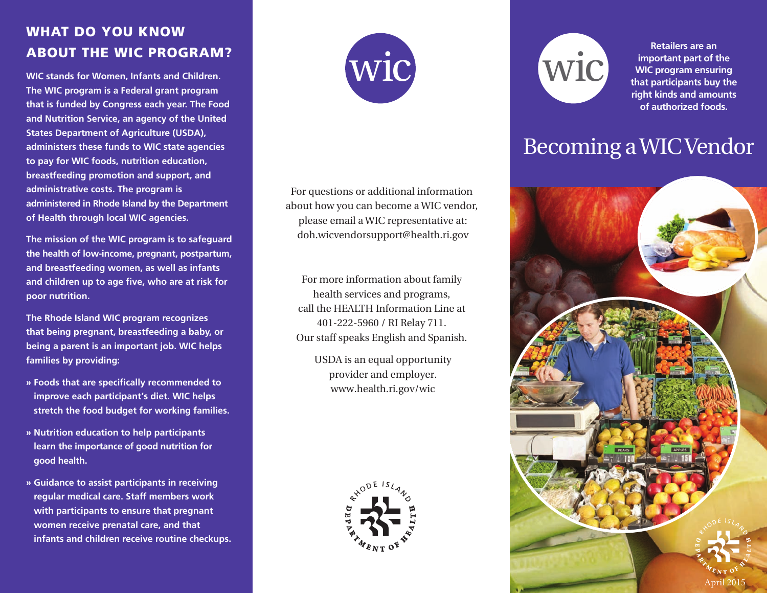### **WHAT DO YOU KNOW ABOUT THE WIC PROGRAM?**

**WIC stands for Women, Infants and Children. The WIC program is a Federal grant program that is funded by Congress each year. The Food and Nutrition Service, an agency of the United States Department of Agriculture (USDA), administers these funds to WIC state agencies to pay for WIC foods, nutrition education, breastfeeding promotion and support, and administrative costs. The program is administered in Rhode Island by the Department of Health through local WIC agencies.** 

**The mission of the WIC program is to safeguard the health of low-income, pregnant, postpartum, and breastfeeding women, as well as infants and children up to age five, who are at risk for poor nutrition.**

**The Rhode Island WIC program recognizes that being pregnant, breastfeeding a baby, or being a parent is an important job. WIC helps families by providing:** 

- **» Foods that are specifically recommended to improve each participant's diet. WIC helps stretch the food budget for working families.**
- **» Nutrition education to help participants learn the importance of good nutrition for good health.**
- **» Guidance to assist participants in receiving regular medical care. Staff members work with participants to ensure that pregnant women receive prenatal care, and that infants and children receive routine checkups.**



For questions or additional information about how you can become a WIC vendor, please email a WIC representative at: doh.wicvendorsupport@health.ri.gov

For more information about family health services and programs, call the HEALTH Information Line at 401-222-5960 / RI Relay 711. Our staff speaks English and Spanish.

> USDA is an equal opportunity provider and employer. www.health.ri.gov/wic





**Retailers are an important part of the WIC program ensuring that participants buy the right kinds and amounts of authorized foods.**

# Becoming a WIC Vendor